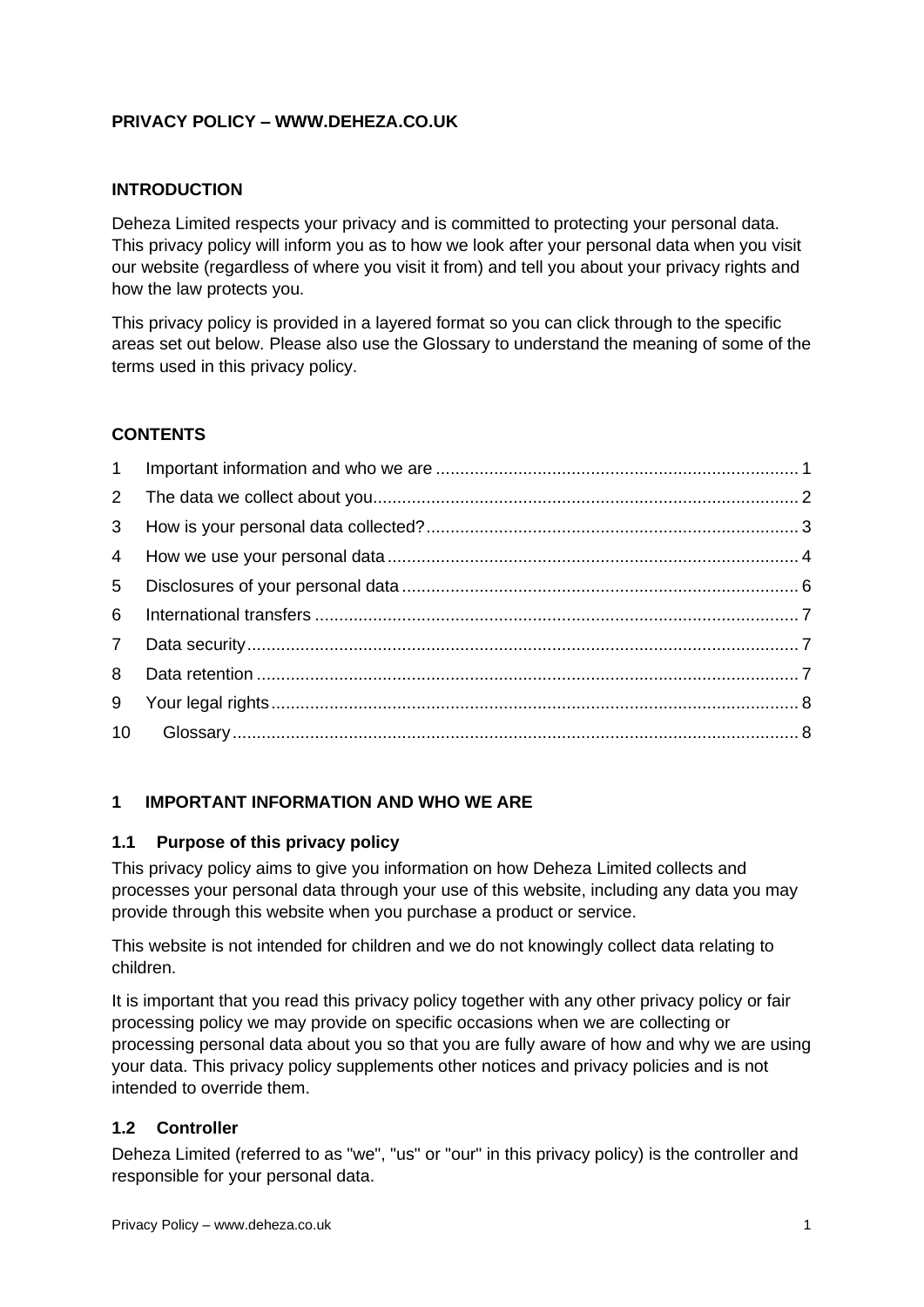## **PRIVACY POLICY – WWW.DEHEZA.CO.UK**

### **INTRODUCTION**

Deheza Limited respects your privacy and is committed to protecting your personal data. This privacy policy will inform you as to how we look after your personal data when you visit our website (regardless of where you visit it from) and tell you about your privacy rights and how the law protects you.

This privacy policy is provided in a layered format so you can click through to the specific areas set out below. Please also use the Glossary to understand the meaning of some of the terms used in this privacy policy.

## **CONTENTS**

| 5 <sup>5</sup> |  |
|----------------|--|
| 6              |  |
| 7 <sup>7</sup> |  |
| 8              |  |
|                |  |
| 10             |  |

## <span id="page-0-0"></span>**1 IMPORTANT INFORMATION AND WHO WE ARE**

### **1.1 Purpose of this privacy policy**

This privacy policy aims to give you information on how Deheza Limited collects and processes your personal data through your use of this website, including any data you may provide through this website when you purchase a product or service.

This website is not intended for children and we do not knowingly collect data relating to children.

It is important that you read this privacy policy together with any other privacy policy or fair processing policy we may provide on specific occasions when we are collecting or processing personal data about you so that you are fully aware of how and why we are using your data. This privacy policy supplements other notices and privacy policies and is not intended to override them.

### **1.2 Controller**

Deheza Limited (referred to as "we", "us" or "our" in this privacy policy) is the controller and responsible for your personal data.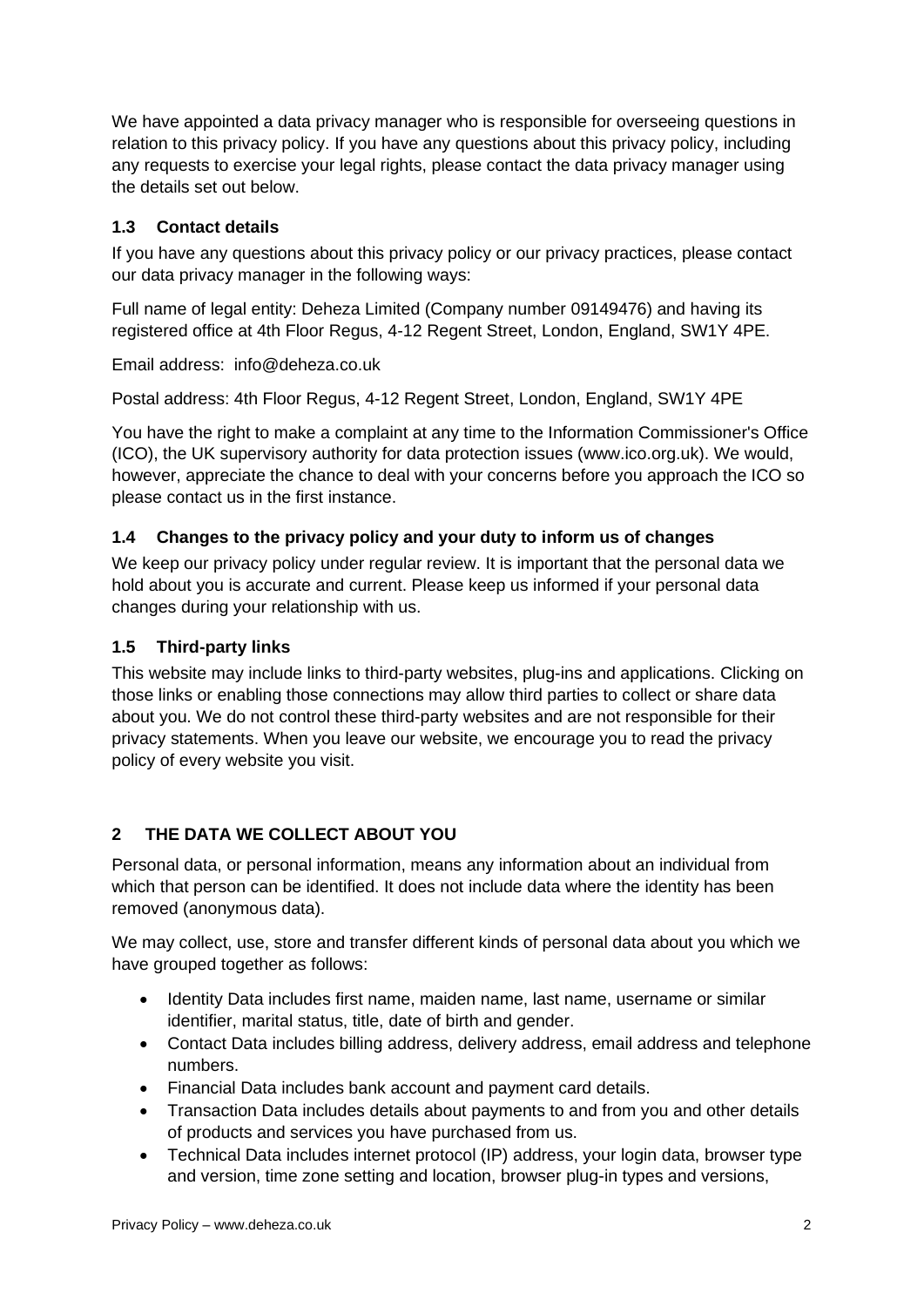We have appointed a data privacy manager who is responsible for overseeing questions in relation to this privacy policy. If you have any questions about this privacy policy, including any requests to exercise your legal rights, please contact the data privacy manager using the details set out below.

# **1.3 Contact details**

If you have any questions about this privacy policy or our privacy practices, please contact our data privacy manager in the following ways:

Full name of legal entity: Deheza Limited (Company number 09149476) and having its registered office at 4th Floor Regus, 4-12 Regent Street, London, England, SW1Y 4PE.

Email address: info@deheza.co.uk

Postal address: 4th Floor Regus, 4-12 Regent Street, London, England, SW1Y 4PE

You have the right to make a complaint at any time to the Information Commissioner's Office (ICO), the UK supervisory authority for data protection issues (www.ico.org.uk). We would, however, appreciate the chance to deal with your concerns before you approach the ICO so please contact us in the first instance.

## **1.4 Changes to the privacy policy and your duty to inform us of changes**

We keep our privacy policy under regular review. It is important that the personal data we hold about you is accurate and current. Please keep us informed if your personal data changes during your relationship with us.

### **1.5 Third-party links**

This website may include links to third-party websites, plug-ins and applications. Clicking on those links or enabling those connections may allow third parties to collect or share data about you. We do not control these third-party websites and are not responsible for their privacy statements. When you leave our website, we encourage you to read the privacy policy of every website you visit.

## <span id="page-1-0"></span>**2 THE DATA WE COLLECT ABOUT YOU**

Personal data, or personal information, means any information about an individual from which that person can be identified. It does not include data where the identity has been removed (anonymous data).

We may collect, use, store and transfer different kinds of personal data about you which we have grouped together as follows:

- Identity Data includes first name, maiden name, last name, username or similar identifier, marital status, title, date of birth and gender.
- Contact Data includes billing address, delivery address, email address and telephone numbers.
- Financial Data includes bank account and payment card details.
- Transaction Data includes details about payments to and from you and other details of products and services you have purchased from us.
- Technical Data includes internet protocol (IP) address, your login data, browser type and version, time zone setting and location, browser plug-in types and versions,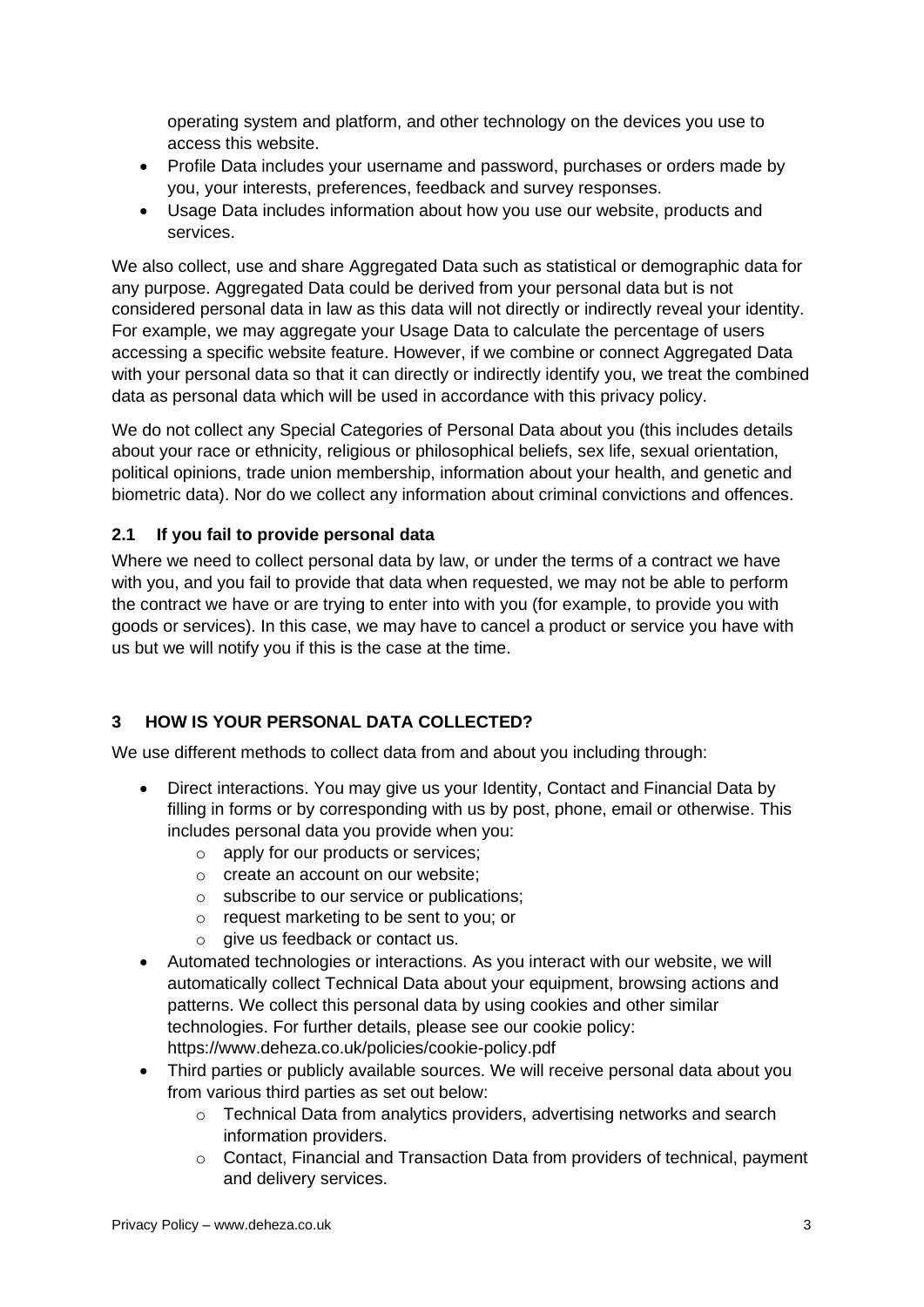operating system and platform, and other technology on the devices you use to access this website.

- Profile Data includes your username and password, purchases or orders made by you, your interests, preferences, feedback and survey responses.
- Usage Data includes information about how you use our website, products and services.

We also collect, use and share Aggregated Data such as statistical or demographic data for any purpose. Aggregated Data could be derived from your personal data but is not considered personal data in law as this data will not directly or indirectly reveal your identity. For example, we may aggregate your Usage Data to calculate the percentage of users accessing a specific website feature. However, if we combine or connect Aggregated Data with your personal data so that it can directly or indirectly identify you, we treat the combined data as personal data which will be used in accordance with this privacy policy.

We do not collect any Special Categories of Personal Data about you (this includes details about your race or ethnicity, religious or philosophical beliefs, sex life, sexual orientation, political opinions, trade union membership, information about your health, and genetic and biometric data). Nor do we collect any information about criminal convictions and offences.

### **2.1 If you fail to provide personal data**

Where we need to collect personal data by law, or under the terms of a contract we have with you, and you fail to provide that data when requested, we may not be able to perform the contract we have or are trying to enter into with you (for example, to provide you with goods or services). In this case, we may have to cancel a product or service you have with us but we will notify you if this is the case at the time.

## <span id="page-2-0"></span>**3 HOW IS YOUR PERSONAL DATA COLLECTED?**

We use different methods to collect data from and about you including through:

- Direct interactions. You may give us your Identity, Contact and Financial Data by filling in forms or by corresponding with us by post, phone, email or otherwise. This includes personal data you provide when you:
	- o apply for our products or services;
	- o create an account on our website;
	- o subscribe to our service or publications;
	- o request marketing to be sent to you; or
	- o give us feedback or contact us.
- Automated technologies or interactions. As you interact with our website, we will automatically collect Technical Data about your equipment, browsing actions and patterns. We collect this personal data by using cookies and other similar technologies. For further details, please see our cookie policy: https://www.deheza.co.uk/policies/cookie-policy.pdf
- Third parties or publicly available sources. We will receive personal data about you from various third parties as set out below:
	- o Technical Data from analytics providers, advertising networks and search information providers.
	- $\circ$  Contact, Financial and Transaction Data from providers of technical, payment and delivery services.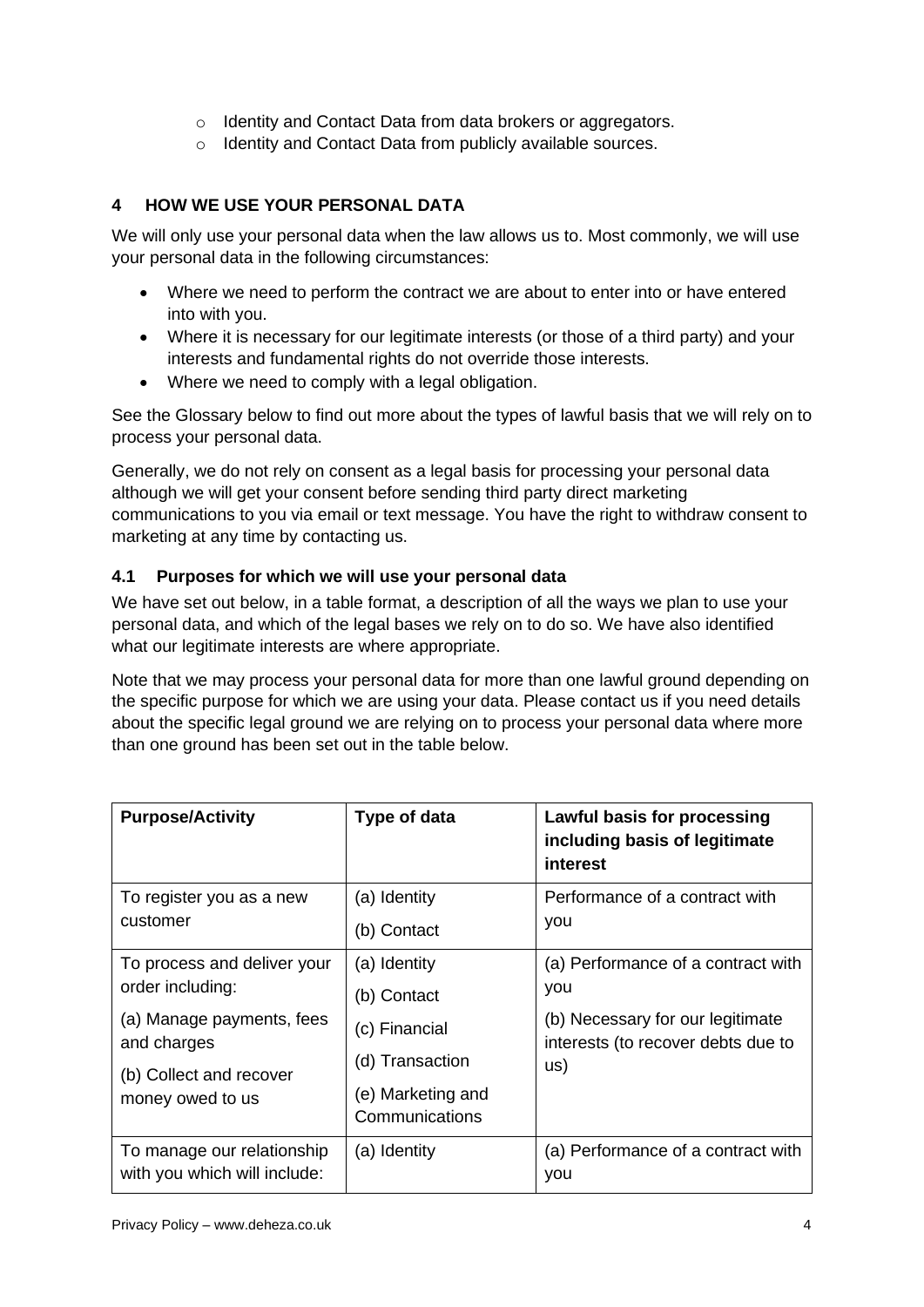- o Identity and Contact Data from data brokers or aggregators.
- o Identity and Contact Data from publicly available sources.

# <span id="page-3-0"></span>**4 HOW WE USE YOUR PERSONAL DATA**

We will only use your personal data when the law allows us to. Most commonly, we will use your personal data in the following circumstances:

- Where we need to perform the contract we are about to enter into or have entered into with you.
- Where it is necessary for our legitimate interests (or those of a third party) and your interests and fundamental rights do not override those interests.
- Where we need to comply with a legal obligation.

See the Glossary below to find out more about the types of lawful basis that we will rely on to process your personal data.

Generally, we do not rely on consent as a legal basis for processing your personal data although we will get your consent before sending third party direct marketing communications to you via email or text message. You have the right to withdraw consent to marketing at any time by contacting us.

## **4.1 Purposes for which we will use your personal data**

We have set out below, in a table format, a description of all the ways we plan to use your personal data, and which of the legal bases we rely on to do so. We have also identified what our legitimate interests are where appropriate.

Note that we may process your personal data for more than one lawful ground depending on the specific purpose for which we are using your data. Please contact us if you need details about the specific legal ground we are relying on to process your personal data where more than one ground has been set out in the table below.

| Type of data                        | Lawful basis for processing<br>including basis of legitimate<br>interest |
|-------------------------------------|--------------------------------------------------------------------------|
| (a) Identity                        | Performance of a contract with                                           |
| (b) Contact                         | you                                                                      |
| (a) Identity                        | (a) Performance of a contract with                                       |
| (b) Contact                         | you                                                                      |
| (c) Financial                       | (b) Necessary for our legitimate<br>interests (to recover debts due to   |
| (d) Transaction                     | us)                                                                      |
| (e) Marketing and<br>Communications |                                                                          |
| (a) Identity                        | (a) Performance of a contract with<br>you                                |
|                                     |                                                                          |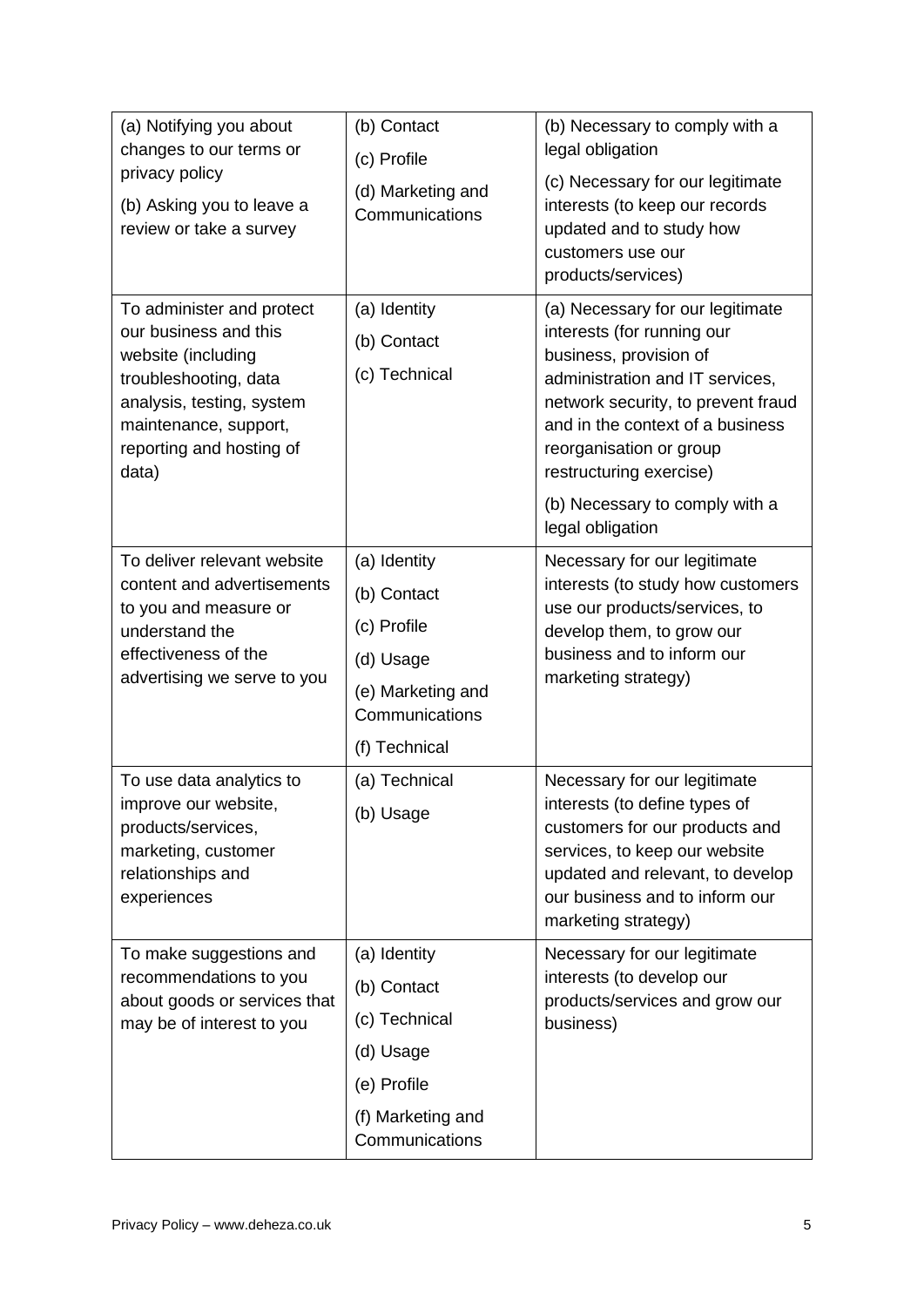| (a) Notifying you about<br>changes to our terms or<br>privacy policy<br>(b) Asking you to leave a<br>review or take a survey                                                                 | (b) Contact<br>(c) Profile<br>(d) Marketing and<br>Communications                                               | (b) Necessary to comply with a<br>legal obligation<br>(c) Necessary for our legitimate<br>interests (to keep our records<br>updated and to study how<br>customers use our<br>products/services)                                                                                               |
|----------------------------------------------------------------------------------------------------------------------------------------------------------------------------------------------|-----------------------------------------------------------------------------------------------------------------|-----------------------------------------------------------------------------------------------------------------------------------------------------------------------------------------------------------------------------------------------------------------------------------------------|
| To administer and protect<br>our business and this<br>website (including<br>troubleshooting, data<br>analysis, testing, system<br>maintenance, support,<br>reporting and hosting of<br>data) | (a) Identity<br>(b) Contact<br>(c) Technical                                                                    | (a) Necessary for our legitimate<br>interests (for running our<br>business, provision of<br>administration and IT services,<br>network security, to prevent fraud<br>and in the context of a business<br>reorganisation or group<br>restructuring exercise)<br>(b) Necessary to comply with a |
|                                                                                                                                                                                              |                                                                                                                 | legal obligation                                                                                                                                                                                                                                                                              |
| To deliver relevant website<br>content and advertisements<br>to you and measure or<br>understand the<br>effectiveness of the<br>advertising we serve to you                                  | (a) Identity<br>(b) Contact<br>(c) Profile<br>(d) Usage<br>(e) Marketing and<br>Communications<br>(f) Technical | Necessary for our legitimate<br>interests (to study how customers<br>use our products/services, to<br>develop them, to grow our<br>business and to inform our<br>marketing strategy)                                                                                                          |
| To use data analytics to<br>improve our website,<br>products/services,<br>marketing, customer<br>relationships and<br>experiences                                                            | (a) Technical<br>(b) Usage                                                                                      | Necessary for our legitimate<br>interests (to define types of<br>customers for our products and<br>services, to keep our website<br>updated and relevant, to develop<br>our business and to inform our<br>marketing strategy)                                                                 |
| To make suggestions and<br>recommendations to you<br>about goods or services that<br>may be of interest to you                                                                               | (a) Identity<br>(b) Contact<br>(c) Technical<br>(d) Usage<br>(e) Profile<br>(f) Marketing and<br>Communications | Necessary for our legitimate<br>interests (to develop our<br>products/services and grow our<br>business)                                                                                                                                                                                      |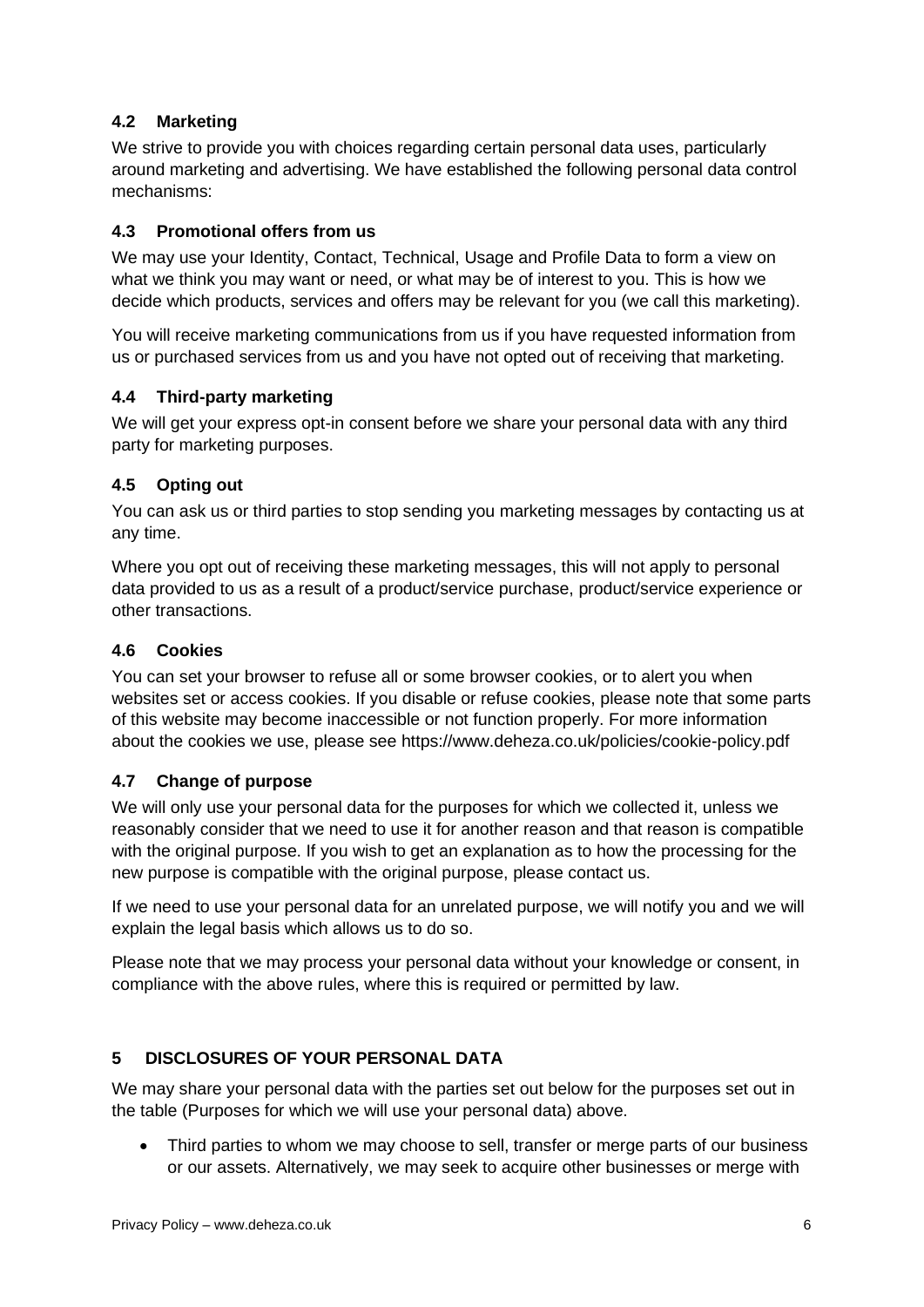# **4.2 Marketing**

We strive to provide you with choices regarding certain personal data uses, particularly around marketing and advertising. We have established the following personal data control mechanisms:

## **4.3 Promotional offers from us**

We may use your Identity, Contact, Technical, Usage and Profile Data to form a view on what we think you may want or need, or what may be of interest to you. This is how we decide which products, services and offers may be relevant for you (we call this marketing).

You will receive marketing communications from us if you have requested information from us or purchased services from us and you have not opted out of receiving that marketing.

### **4.4 Third-party marketing**

We will get your express opt-in consent before we share your personal data with any third party for marketing purposes.

### **4.5 Opting out**

You can ask us or third parties to stop sending you marketing messages by contacting us at any time.

Where you opt out of receiving these marketing messages, this will not apply to personal data provided to us as a result of a product/service purchase, product/service experience or other transactions.

### **4.6 Cookies**

You can set your browser to refuse all or some browser cookies, or to alert you when websites set or access cookies. If you disable or refuse cookies, please note that some parts of this website may become inaccessible or not function properly. For more information about the cookies we use, please see https://www.deheza.co.uk/policies/cookie-policy.pdf

## **4.7 Change of purpose**

We will only use your personal data for the purposes for which we collected it, unless we reasonably consider that we need to use it for another reason and that reason is compatible with the original purpose. If you wish to get an explanation as to how the processing for the new purpose is compatible with the original purpose, please contact us.

If we need to use your personal data for an unrelated purpose, we will notify you and we will explain the legal basis which allows us to do so.

Please note that we may process your personal data without your knowledge or consent, in compliance with the above rules, where this is required or permitted by law.

## <span id="page-5-0"></span>**5 DISCLOSURES OF YOUR PERSONAL DATA**

We may share your personal data with the parties set out below for the purposes set out in the table (Purposes for which we will use your personal data) above.

• Third parties to whom we may choose to sell, transfer or merge parts of our business or our assets. Alternatively, we may seek to acquire other businesses or merge with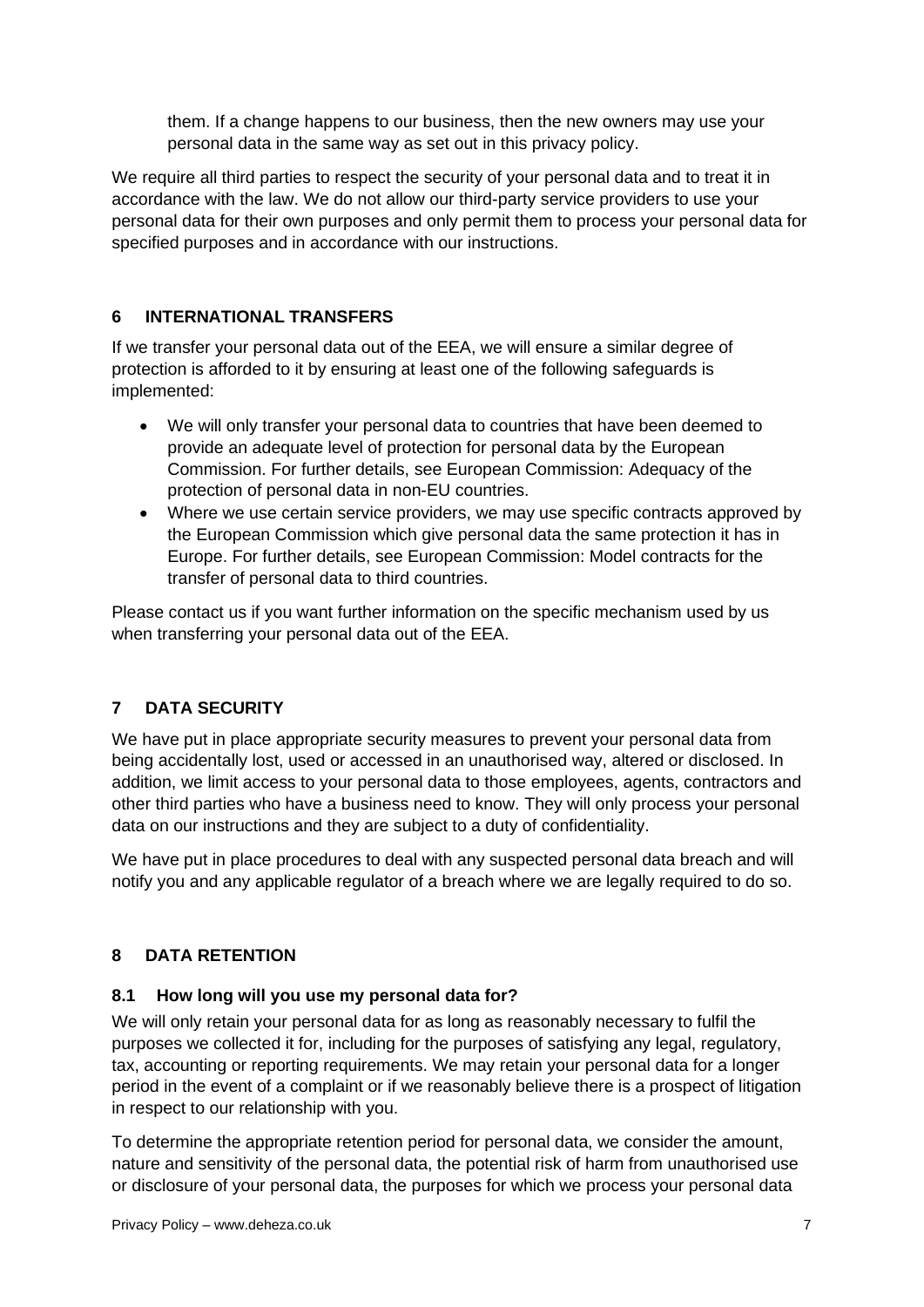them. If a change happens to our business, then the new owners may use your personal data in the same way as set out in this privacy policy.

We require all third parties to respect the security of your personal data and to treat it in accordance with the law. We do not allow our third-party service providers to use your personal data for their own purposes and only permit them to process your personal data for specified purposes and in accordance with our instructions.

## <span id="page-6-0"></span>**6 INTERNATIONAL TRANSFERS**

If we transfer your personal data out of the EEA, we will ensure a similar degree of protection is afforded to it by ensuring at least one of the following safeguards is implemented:

- We will only transfer your personal data to countries that have been deemed to provide an adequate level of protection for personal data by the European Commission. For further details, see European Commission: Adequacy of the protection of personal data in non-EU countries.
- Where we use certain service providers, we may use specific contracts approved by the European Commission which give personal data the same protection it has in Europe. For further details, see European Commission: Model contracts for the transfer of personal data to third countries.

Please contact us if you want further information on the specific mechanism used by us when transferring your personal data out of the EEA.

## <span id="page-6-1"></span>**7 DATA SECURITY**

We have put in place appropriate security measures to prevent your personal data from being accidentally lost, used or accessed in an unauthorised way, altered or disclosed. In addition, we limit access to your personal data to those employees, agents, contractors and other third parties who have a business need to know. They will only process your personal data on our instructions and they are subject to a duty of confidentiality.

We have put in place procedures to deal with any suspected personal data breach and will notify you and any applicable regulator of a breach where we are legally required to do so.

## <span id="page-6-2"></span>**8 DATA RETENTION**

### **8.1 How long will you use my personal data for?**

We will only retain your personal data for as long as reasonably necessary to fulfil the purposes we collected it for, including for the purposes of satisfying any legal, regulatory, tax, accounting or reporting requirements. We may retain your personal data for a longer period in the event of a complaint or if we reasonably believe there is a prospect of litigation in respect to our relationship with you.

To determine the appropriate retention period for personal data, we consider the amount, nature and sensitivity of the personal data, the potential risk of harm from unauthorised use or disclosure of your personal data, the purposes for which we process your personal data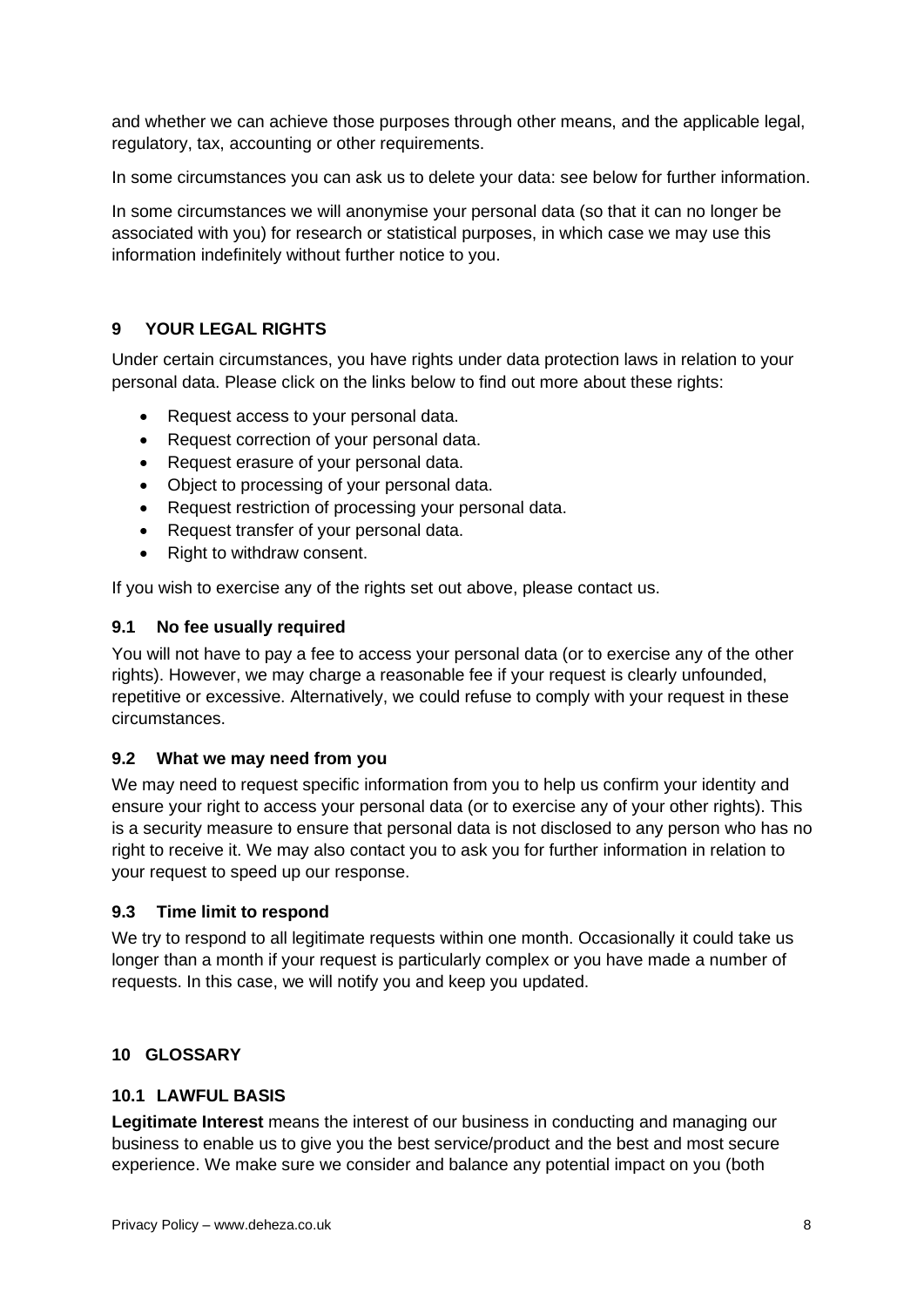and whether we can achieve those purposes through other means, and the applicable legal, regulatory, tax, accounting or other requirements.

In some circumstances you can ask us to delete your data: see below for further information.

In some circumstances we will anonymise your personal data (so that it can no longer be associated with you) for research or statistical purposes, in which case we may use this information indefinitely without further notice to you.

## <span id="page-7-0"></span>**9 YOUR LEGAL RIGHTS**

Under certain circumstances, you have rights under data protection laws in relation to your personal data. Please click on the links below to find out more about these rights:

- Request access to your personal data.
- Request correction of your personal data.
- Request erasure of your personal data.
- Object to processing of your personal data.
- Request restriction of processing your personal data.
- Request transfer of your personal data.
- Right to withdraw consent.

If you wish to exercise any of the rights set out above, please contact us.

### **9.1 No fee usually required**

You will not have to pay a fee to access your personal data (or to exercise any of the other rights). However, we may charge a reasonable fee if your request is clearly unfounded, repetitive or excessive. Alternatively, we could refuse to comply with your request in these circumstances.

### **9.2 What we may need from you**

We may need to request specific information from you to help us confirm your identity and ensure your right to access your personal data (or to exercise any of your other rights). This is a security measure to ensure that personal data is not disclosed to any person who has no right to receive it. We may also contact you to ask you for further information in relation to your request to speed up our response.

### **9.3 Time limit to respond**

We try to respond to all legitimate requests within one month. Occasionally it could take us longer than a month if your request is particularly complex or you have made a number of requests. In this case, we will notify you and keep you updated.

### <span id="page-7-1"></span>**10 GLOSSARY**

### **10.1 LAWFUL BASIS**

**Legitimate Interest** means the interest of our business in conducting and managing our business to enable us to give you the best service/product and the best and most secure experience. We make sure we consider and balance any potential impact on you (both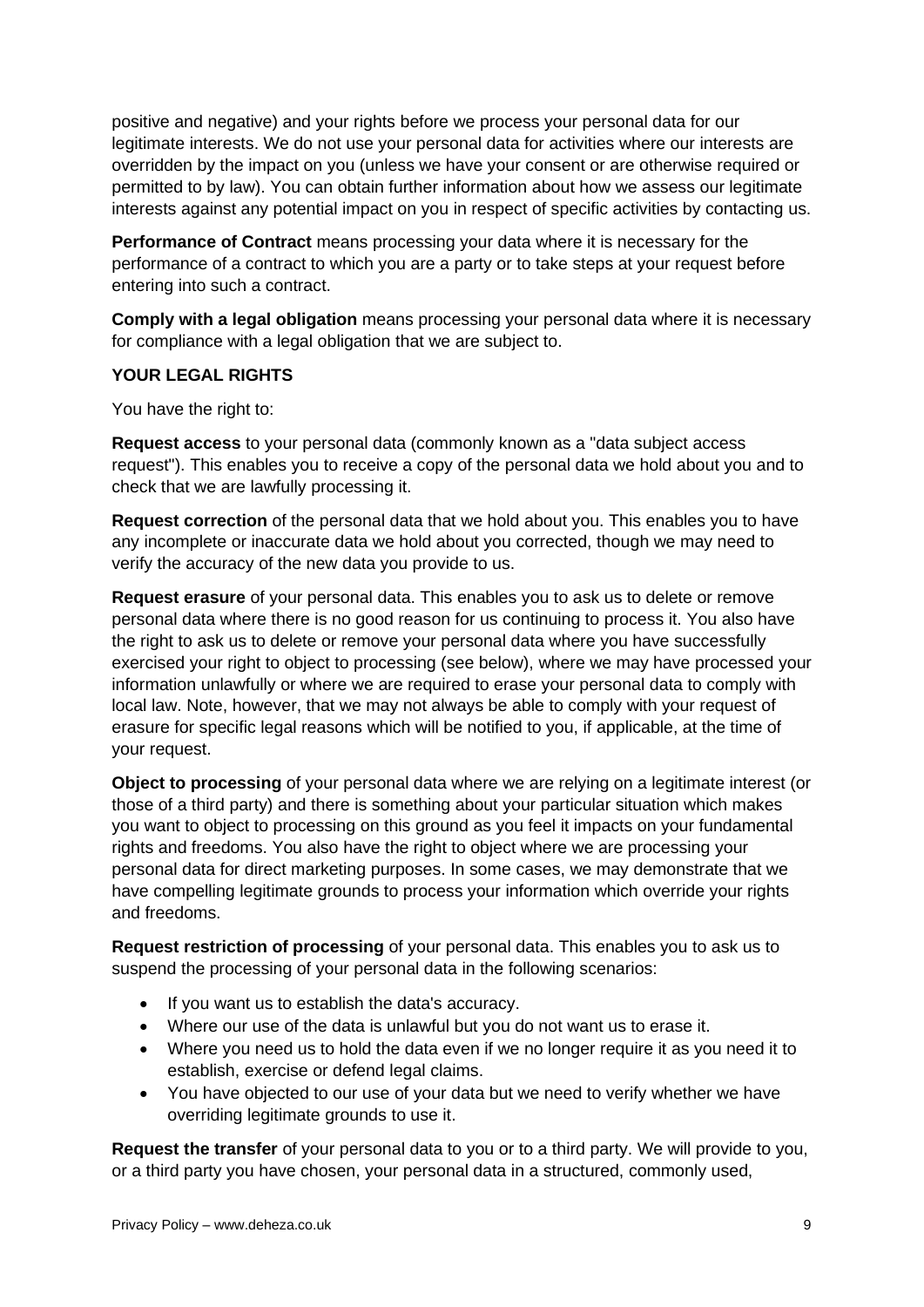positive and negative) and your rights before we process your personal data for our legitimate interests. We do not use your personal data for activities where our interests are overridden by the impact on you (unless we have your consent or are otherwise required or permitted to by law). You can obtain further information about how we assess our legitimate interests against any potential impact on you in respect of specific activities by contacting us.

**Performance of Contract** means processing your data where it is necessary for the performance of a contract to which you are a party or to take steps at your request before entering into such a contract.

**Comply with a legal obligation** means processing your personal data where it is necessary for compliance with a legal obligation that we are subject to.

### **YOUR LEGAL RIGHTS**

You have the right to:

**Request access** to your personal data (commonly known as a "data subject access request"). This enables you to receive a copy of the personal data we hold about you and to check that we are lawfully processing it.

**Request correction** of the personal data that we hold about you. This enables you to have any incomplete or inaccurate data we hold about you corrected, though we may need to verify the accuracy of the new data you provide to us.

**Request erasure** of your personal data. This enables you to ask us to delete or remove personal data where there is no good reason for us continuing to process it. You also have the right to ask us to delete or remove your personal data where you have successfully exercised your right to object to processing (see below), where we may have processed your information unlawfully or where we are required to erase your personal data to comply with local law. Note, however, that we may not always be able to comply with your request of erasure for specific legal reasons which will be notified to you, if applicable, at the time of your request.

**Object to processing** of your personal data where we are relying on a legitimate interest (or those of a third party) and there is something about your particular situation which makes you want to object to processing on this ground as you feel it impacts on your fundamental rights and freedoms. You also have the right to object where we are processing your personal data for direct marketing purposes. In some cases, we may demonstrate that we have compelling legitimate grounds to process your information which override your rights and freedoms.

**Request restriction of processing** of your personal data. This enables you to ask us to suspend the processing of your personal data in the following scenarios:

- If you want us to establish the data's accuracy.
- Where our use of the data is unlawful but you do not want us to erase it.
- Where you need us to hold the data even if we no longer require it as you need it to establish, exercise or defend legal claims.
- You have objected to our use of your data but we need to verify whether we have overriding legitimate grounds to use it.

**Request the transfer** of your personal data to you or to a third party. We will provide to you, or a third party you have chosen, your personal data in a structured, commonly used,